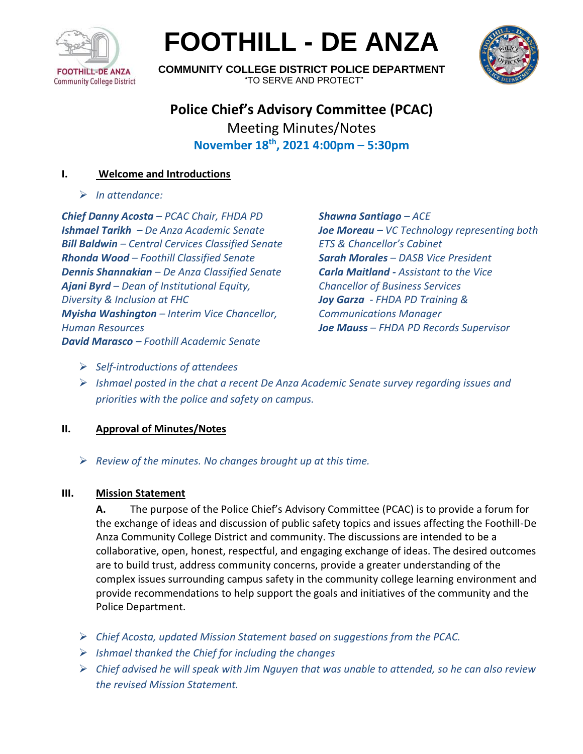

# **FOOTHILL - DE ANZA**



**COMMUNITY COLLEGE DISTRICT POLICE DEPARTMENT** "TO SERVE AND PROTECT"

# **Police Chief's Advisory Committee (PCAC)** Meeting Minutes/Notes **November 18th , 2021 4:00pm – 5:30pm**

# **I. Welcome and Introductions**

➢ *In attendance:* 

*Chief Danny Acosta – PCAC Chair, FHDA PD Ishmael Tarikh – De Anza Academic Senate Bill Baldwin – Central Cervices Classified Senate Rhonda Wood – Foothill Classified Senate Dennis Shannakian – De Anza Classified Senate Ajani Byrd – Dean of Institutional Equity, Diversity & Inclusion at FHC Myisha Washington – Interim Vice Chancellor, Human Resources David Marasco – Foothill Academic Senate*

*Shawna Santiago – ACE Joe Moreau – VC Technology representing both ETS & Chancellor's Cabinet Sarah Morales – DASB Vice President Carla Maitland - Assistant to the Vice Chancellor of Business Services Joy Garza - FHDA PD Training & Communications Manager Joe Mauss – FHDA PD Records Supervisor*

- ➢ *Self-introductions of attendees*
- ➢ *Ishmael posted in the chat a recent De Anza Academic Senate survey regarding issues and priorities with the police and safety on campus.*

# **II. Approval of Minutes/Notes**

➢ *Review of the minutes. No changes brought up at this time.*

## **III. Mission Statement**

**A.** The purpose of the Police Chief's Advisory Committee (PCAC) is to provide a forum for the exchange of ideas and discussion of public safety topics and issues affecting the Foothill-De Anza Community College District and community. The discussions are intended to be a collaborative, open, honest, respectful, and engaging exchange of ideas. The desired outcomes are to build trust, address community concerns, provide a greater understanding of the complex issues surrounding campus safety in the community college learning environment and provide recommendations to help support the goals and initiatives of the community and the Police Department.

- ➢ *Chief Acosta, updated Mission Statement based on suggestions from the PCAC.*
- ➢ *Ishmael thanked the Chief for including the changes*
- ➢ *Chief advised he will speak with Jim Nguyen that was unable to attended, so he can also review the revised Mission Statement.*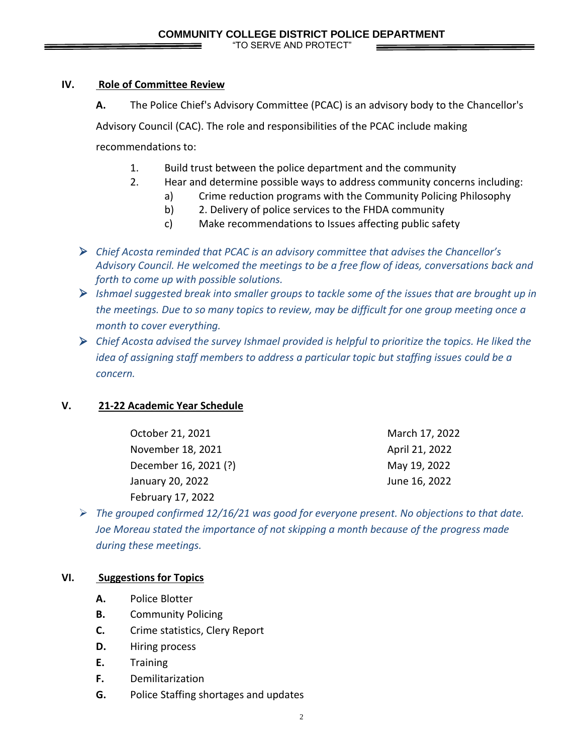## **IV. Role of Committee Review**

**A.** The Police Chief's Advisory Committee (PCAC) is an advisory body to the Chancellor's

Advisory Council (CAC). The role and responsibilities of the PCAC include making

recommendations to:

- 1. Build trust between the police department and the community
- 2. Hear and determine possible ways to address community concerns including:
	- a) Crime reduction programs with the Community Policing Philosophy
	- b) 2. Delivery of police services to the FHDA community
	- c) Make recommendations to Issues affecting public safety
- ➢ *Chief Acosta reminded that PCAC is an advisory committee that advises the Chancellor's Advisory Council. He welcomed the meetings to be a free flow of ideas, conversations back and forth to come up with possible solutions.*
- ➢ *Ishmael suggested break into smaller groups to tackle some of the issues that are brought up in the meetings. Due to so many topics to review, may be difficult for one group meeting once a month to cover everything.*
- ➢ *Chief Acosta advised the survey Ishmael provided is helpful to prioritize the topics. He liked the idea of assigning staff members to address a particular topic but staffing issues could be a concern.*

# **V. 21-22 Academic Year Schedule**

| October 21, 2021      | March 17, 2022 |
|-----------------------|----------------|
| November 18, 2021     | April 21, 2022 |
| December 16, 2021 (?) | May 19, 2022   |
| January 20, 2022      | June 16, 2022  |
| February 17, 2022     |                |

➢ *The grouped confirmed 12/16/21 was good for everyone present. No objections to that date. Joe Moreau stated the importance of not skipping a month because of the progress made during these meetings.*

# **VI. Suggestions for Topics**

- **A.** Police Blotter
- **B.** Community Policing
- **C.** Crime statistics, Clery Report
- **D.** Hiring process
- **E.** Training
- **F.** Demilitarization
- **G.** Police Staffing shortages and updates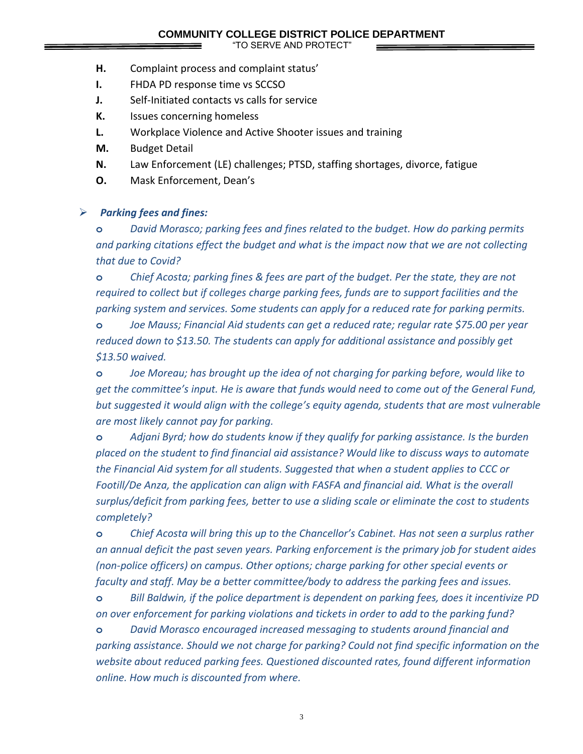- **H.** Complaint process and complaint status'
- **I.** FHDA PD response time vs SCCSO
- **J.** Self-Initiated contacts vs calls for service
- **K.** Issues concerning homeless
- **L.** Workplace Violence and Active Shooter issues and training
- **M.** Budget Detail
- **N.** Law Enforcement (LE) challenges; PTSD, staffing shortages, divorce, fatigue
- **O.** Mask Enforcement, Dean's

#### ➢ *Parking fees and fines:*

**o** *David Morasco; parking fees and fines related to the budget. How do parking permits and parking citations effect the budget and what is the impact now that we are not collecting that due to Covid?*

**o** *Chief Acosta; parking fines & fees are part of the budget. Per the state, they are not required to collect but if colleges charge parking fees, funds are to support facilities and the parking system and services. Some students can apply for a reduced rate for parking permits.*

**o** *Joe Mauss; Financial Aid students can get a reduced rate; regular rate \$75.00 per year reduced down to \$13.50. The students can apply for additional assistance and possibly get \$13.50 waived.*

**o** *Joe Moreau; has brought up the idea of not charging for parking before, would like to get the committee's input. He is aware that funds would need to come out of the General Fund, but suggested it would align with the college's equity agenda, students that are most vulnerable are most likely cannot pay for parking.*

**o** *Adjani Byrd; how do students know if they qualify for parking assistance. Is the burden placed on the student to find financial aid assistance? Would like to discuss ways to automate the Financial Aid system for all students. Suggested that when a student applies to CCC or Footill/De Anza, the application can align with FASFA and financial aid. What is the overall surplus/deficit from parking fees, better to use a sliding scale or eliminate the cost to students completely?*

**o** *Chief Acosta will bring this up to the Chancellor's Cabinet. Has not seen a surplus rather an annual deficit the past seven years. Parking enforcement is the primary job for student aides (non-police officers) on campus. Other options; charge parking for other special events or faculty and staff. May be a better committee/body to address the parking fees and issues.*

**o** *Bill Baldwin, if the police department is dependent on parking fees, does it incentivize PD on over enforcement for parking violations and tickets in order to add to the parking fund?*

**o** *David Morasco encouraged increased messaging to students around financial and parking assistance. Should we not charge for parking? Could not find specific information on the website about reduced parking fees. Questioned discounted rates, found different information online. How much is discounted from where.* 

3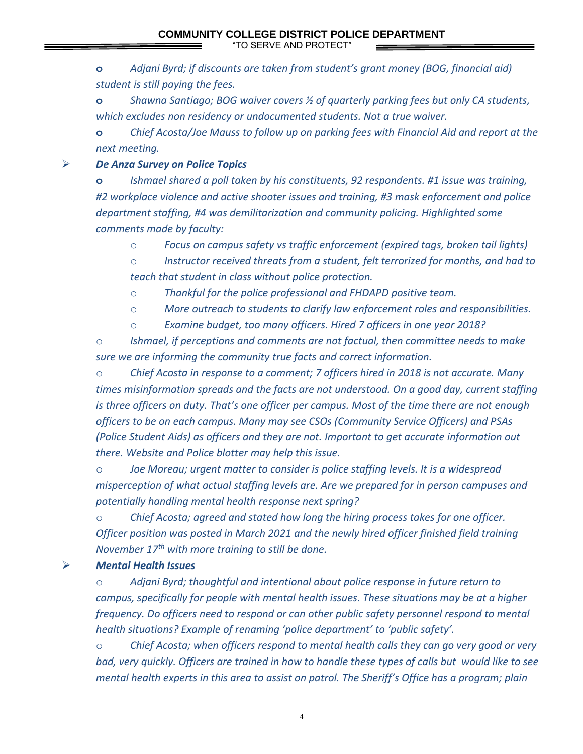**o** *Adjani Byrd; if discounts are taken from student's grant money (BOG, financial aid) student is still paying the fees.* 

**o** *Shawna Santiago; BOG waiver covers ½ of quarterly parking fees but only CA students, which excludes non residency or undocumented students. Not a true waiver.*

**o** *Chief Acosta/Joe Mauss to follow up on parking fees with Financial Aid and report at the next meeting.*

➢ *De Anza Survey on Police Topics*

**o** *Ishmael shared a poll taken by his constituents, 92 respondents. #1 issue was training, #2 workplace violence and active shooter issues and training, #3 mask enforcement and police department staffing, #4 was demilitarization and community policing. Highlighted some comments made by faculty:*

o *Focus on campus safety vs traffic enforcement (expired tags, broken tail lights)*

o *Instructor received threats from a student, felt terrorized for months, and had to teach that student in class without police protection.*

o *Thankful for the police professional and FHDAPD positive team.*

o *More outreach to students to clarify law enforcement roles and responsibilities.*

o *Examine budget, too many officers. Hired 7 officers in one year 2018?* 

o *Ishmael, if perceptions and comments are not factual, then committee needs to make sure we are informing the community true facts and correct information.*

o *Chief Acosta in response to a comment; 7 officers hired in 2018 is not accurate. Many times misinformation spreads and the facts are not understood. On a good day, current staffing is three officers on duty. That's one officer per campus. Most of the time there are not enough officers to be on each campus. Many may see CSOs (Community Service Officers) and PSAs (Police Student Aids) as officers and they are not. Important to get accurate information out there. Website and Police blotter may help this issue.*

o *Joe Moreau; urgent matter to consider is police staffing levels. It is a widespread misperception of what actual staffing levels are. Are we prepared for in person campuses and potentially handling mental health response next spring?*

o *Chief Acosta; agreed and stated how long the hiring process takes for one officer. Officer position was posted in March 2021 and the newly hired officer finished field training November 17 th with more training to still be done.*

## ➢ *Mental Health Issues*

o *Adjani Byrd; thoughtful and intentional about police response in future return to campus, specifically for people with mental health issues. These situations may be at a higher frequency. Do officers need to respond or can other public safety personnel respond to mental health situations? Example of renaming 'police department' to 'public safety'.*

o *Chief Acosta; when officers respond to mental health calls they can go very good or very bad, very quickly. Officers are trained in how to handle these types of calls but would like to see mental health experts in this area to assist on patrol. The Sheriff's Office has a program; plain* 

4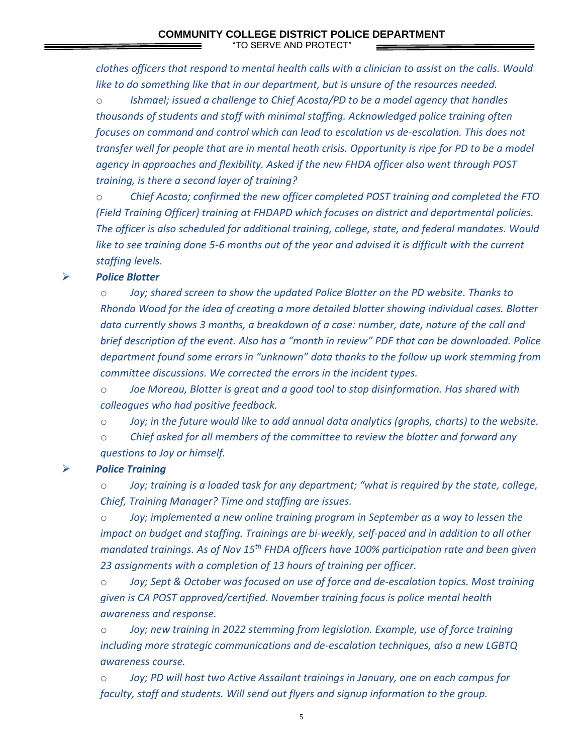*clothes officers that respond to mental health calls with a clinician to assist on the calls. Would like to do something like that in our department, but is unsure of the resources needed.*

o *Ishmael; issued a challenge to Chief Acosta/PD to be a model agency that handles thousands of students and staff with minimal staffing. Acknowledged police training often focuses on command and control which can lead to escalation vs de-escalation. This does not transfer well for people that are in mental heath crisis. Opportunity is ripe for PD to be a model agency in approaches and flexibility. Asked if the new FHDA officer also went through POST training, is there a second layer of training?*

o *Chief Acosta; confirmed the new officer completed POST training and completed the FTO (Field Training Officer) training at FHDAPD which focuses on district and departmental policies. The officer is also scheduled for additional training, college, state, and federal mandates. Would like to see training done 5-6 months out of the year and advised it is difficult with the current staffing levels.*

#### ➢ *Police Blotter*

o *Joy; shared screen to show the updated Police Blotter on the PD website. Thanks to Rhonda Wood for the idea of creating a more detailed blotter showing individual cases. Blotter data currently shows 3 months, a breakdown of a case: number, date, nature of the call and brief description of the event. Also has a "month in review" PDF that can be downloaded. Police department found some errors in "unknown" data thanks to the follow up work stemming from committee discussions. We corrected the errors in the incident types.*

o *Joe Moreau, Blotter is great and a good tool to stop disinformation. Has shared with colleagues who had positive feedback.*

o *Joy; in the future would like to add annual data analytics (graphs, charts) to the website.*

o *Chief asked for all members of the committee to review the blotter and forward any questions to Joy or himself.*

#### ➢ *Police Training*

o *Joy; training is a loaded task for any department; "what is required by the state, college, Chief, Training Manager? Time and staffing are issues.* 

o *Joy; implemented a new online training program in September as a way to lessen the impact on budget and staffing. Trainings are bi-weekly, self-paced and in addition to all other mandated trainings. As of Nov 15th FHDA officers have 100% participation rate and been given 23 assignments with a completion of 13 hours of training per officer.* 

o *Joy; Sept & October was focused on use of force and de-escalation topics. Most training given is CA POST approved/certified. November training focus is police mental health awareness and response.*

o *Joy; new training in 2022 stemming from legislation. Example, use of force training including more strategic communications and de-escalation techniques, also a new LGBTQ awareness course.*

o *Joy; PD will host two Active Assailant trainings in January, one on each campus for faculty, staff and students. Will send out flyers and signup information to the group.*